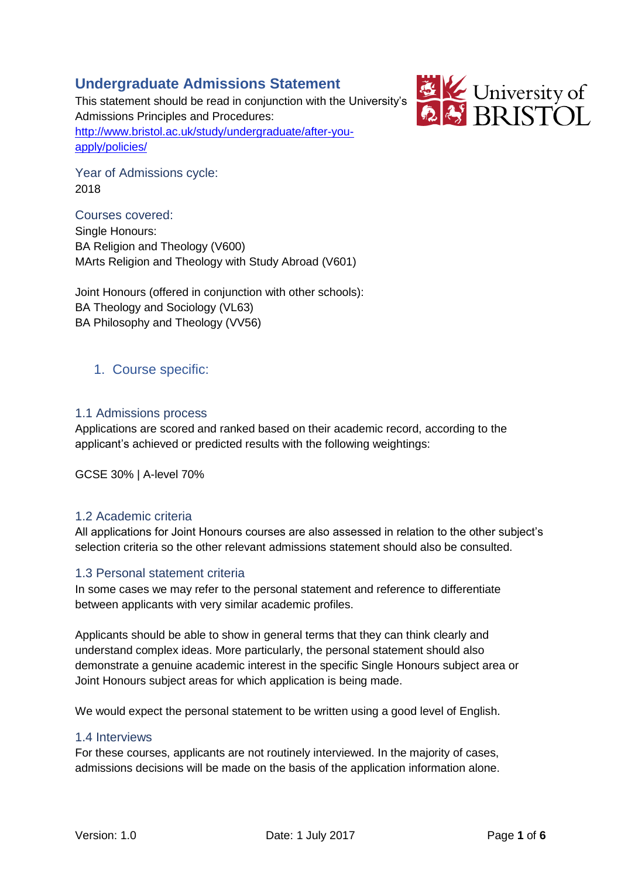# **Undergraduate Admissions Statement**

This statement should be read in conjunction with the University's Admissions Principles and Procedures: [http://www.bristol.ac.uk/study/undergraduate/after-you](http://www.bristol.ac.uk/study/undergraduate/after-you-apply/policies/)[apply/policies/](http://www.bristol.ac.uk/study/undergraduate/after-you-apply/policies/)



Year of Admissions cycle: 2018

Courses covered: Single Honours: BA Religion and Theology (V600) MArts Religion and Theology with Study Abroad (V601)

Joint Honours (offered in conjunction with other schools): BA Theology and Sociology (VL63) BA Philosophy and Theology (VV56)

# 1. Course specific:

# 1.1 Admissions process

Applications are scored and ranked based on their academic record, according to the applicant's achieved or predicted results with the following weightings:

GCSE 30% | A-level 70%

# 1.2 Academic criteria

All applications for Joint Honours courses are also assessed in relation to the other subject's selection criteria so the other relevant admissions statement should also be consulted.

# 1.3 Personal statement criteria

In some cases we may refer to the personal statement and reference to differentiate between applicants with very similar academic profiles.

Applicants should be able to show in general terms that they can think clearly and understand complex ideas. More particularly, the personal statement should also demonstrate a genuine academic interest in the specific Single Honours subject area or Joint Honours subject areas for which application is being made.

We would expect the personal statement to be written using a good level of English.

# 1.4 Interviews

For these courses, applicants are not routinely interviewed. In the majority of cases, admissions decisions will be made on the basis of the application information alone.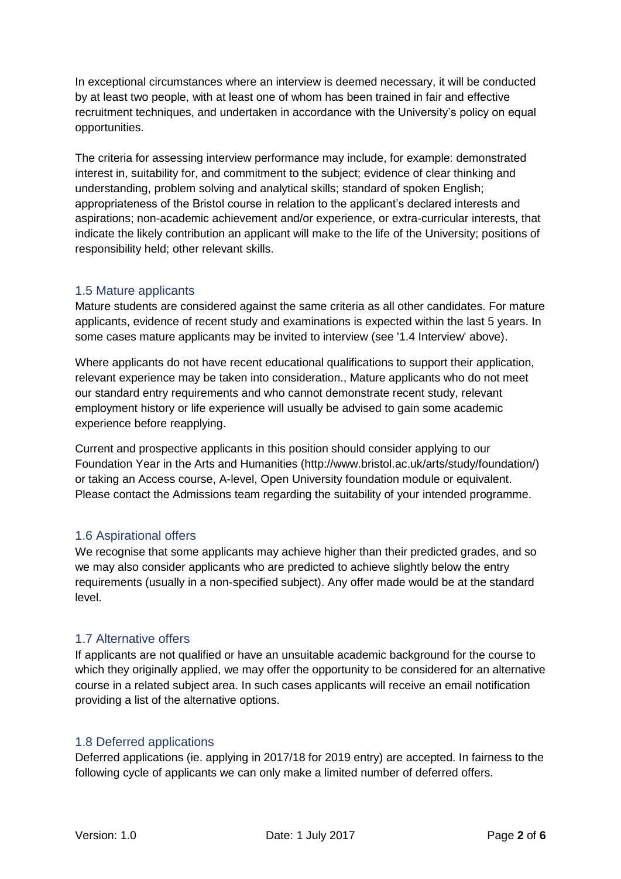In exceptional circumstances where an interview is deemed necessary, it will be conducted by at least two people, with at least one of whom has been trained in fair and effective recruitment techniques, and undertaken in accordance with the University's policy on equal opportunities.

The criteria for assessing interview performance may include, for example: demonstrated interest in, suitability for, and commitment to the subject; evidence of clear thinking and understanding, problem solving and analytical skills; standard of spoken English; appropriateness of the Bristol course in relation to the applicant's declared interests and aspirations; non-academic achievement and/or experience, or extra-curricular interests, that indicate the likely contribution an applicant will make to the life of the University; positions of responsibility held; other relevant skills.

## 1.5 Mature applicants

Mature students are considered against the same criteria as all other candidates. For mature applicants, evidence of recent study and examinations is expected within the last 5 years. In some cases mature applicants may be invited to interview (see '1.4 Interview' above).

Where applicants do not have recent educational qualifications to support their application, relevant experience may be taken into consideration., Mature applicants who do not meet our standard entry requirements and who cannot demonstrate recent study, relevant employment history or life experience will usually be advised to gain some academic experience before reapplying.

Current and prospective applicants in this position should consider applying to our Foundation Year in the Arts and Humanities (http://www.bristol.ac.uk/arts/study/foundation/) or taking an Access course, A-level, Open University foundation module or equivalent. Please contact the Admissions team regarding the suitability of your intended programme.

# 1.6 Aspirational offers

We recognise that some applicants may achieve higher than their predicted grades, and so we may also consider applicants who are predicted to achieve slightly below the entry requirements (usually in a non-specified subject). Any offer made would be at the standard level.

# 1.7 Alternative offers

If applicants are not qualified or have an unsuitable academic background for the course to which they originally applied, we may offer the opportunity to be considered for an alternative course in a related subject area. In such cases applicants will receive an email notification providing a list of the alternative options.

# 1.8 Deferred applications

Deferred applications (ie. applying in 2017/18 for 2019 entry) are accepted. In fairness to the following cycle of applicants we can only make a limited number of deferred offers.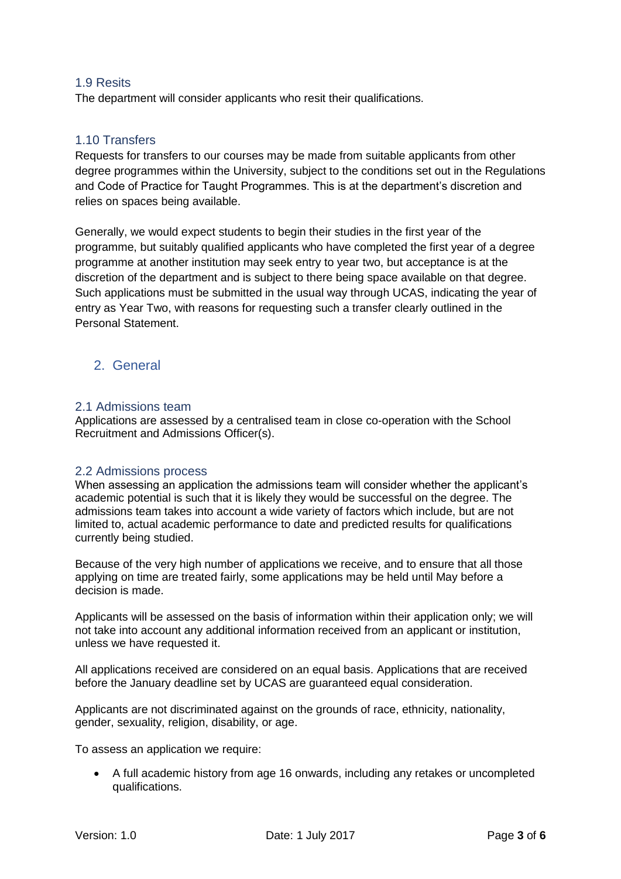## 1.9 Resits

The department will consider applicants who resit their qualifications.

## 1.10 Transfers

Requests for transfers to our courses may be made from suitable applicants from other degree programmes within the University, subject to the conditions set out in the Regulations and Code of Practice for Taught Programmes. This is at the department's discretion and relies on spaces being available.

Generally, we would expect students to begin their studies in the first year of the programme, but suitably qualified applicants who have completed the first year of a degree programme at another institution may seek entry to year two, but acceptance is at the discretion of the department and is subject to there being space available on that degree. Such applications must be submitted in the usual way through UCAS, indicating the year of entry as Year Two, with reasons for requesting such a transfer clearly outlined in the Personal Statement.

# 2. General

#### 2.1 Admissions team

Applications are assessed by a centralised team in close co-operation with the School Recruitment and Admissions Officer(s).

### 2.2 Admissions process

When assessing an application the admissions team will consider whether the applicant's academic potential is such that it is likely they would be successful on the degree. The admissions team takes into account a wide variety of factors which include, but are not limited to, actual academic performance to date and predicted results for qualifications currently being studied.

Because of the very high number of applications we receive, and to ensure that all those applying on time are treated fairly, some applications may be held until May before a decision is made.

Applicants will be assessed on the basis of information within their application only; we will not take into account any additional information received from an applicant or institution, unless we have requested it.

All applications received are considered on an equal basis. Applications that are received before the January deadline set by UCAS are guaranteed equal consideration.

Applicants are not discriminated against on the grounds of race, ethnicity, nationality, gender, sexuality, religion, disability, or age.

To assess an application we require:

• A full academic history from age 16 onwards, including any retakes or uncompleted qualifications.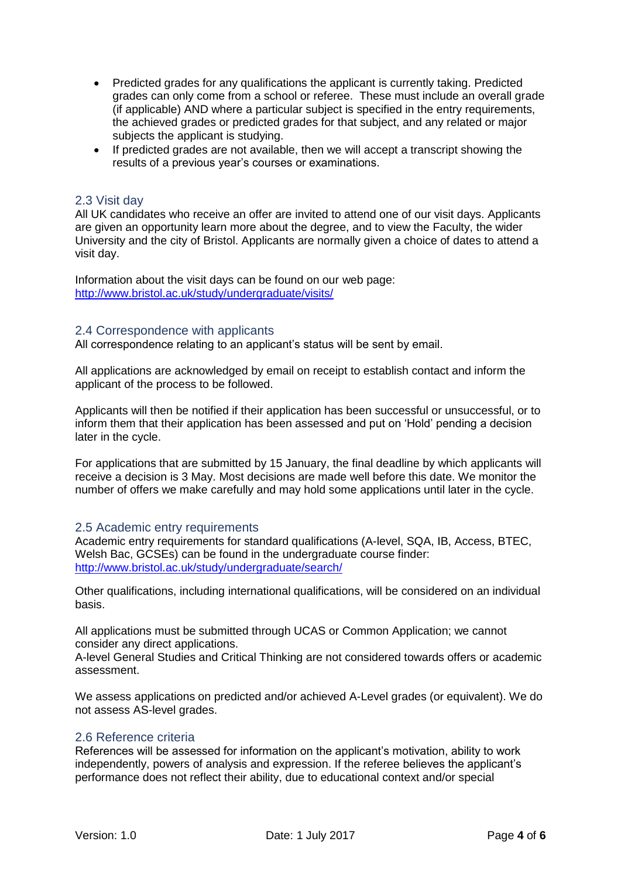- Predicted grades for any qualifications the applicant is currently taking. Predicted grades can only come from a school or referee. These must include an overall grade (if applicable) AND where a particular subject is specified in the entry requirements, the achieved grades or predicted grades for that subject, and any related or major subjects the applicant is studying.
- If predicted grades are not available, then we will accept a transcript showing the results of a previous year's courses or examinations.

#### 2.3 Visit day

All UK candidates who receive an offer are invited to attend one of our visit days. Applicants are given an opportunity learn more about the degree, and to view the Faculty, the wider University and the city of Bristol. Applicants are normally given a choice of dates to attend a visit day.

Information about the visit days can be found on our web page: <http://www.bristol.ac.uk/study/undergraduate/visits/>

#### 2.4 Correspondence with applicants

All correspondence relating to an applicant's status will be sent by email.

All applications are acknowledged by email on receipt to establish contact and inform the applicant of the process to be followed.

Applicants will then be notified if their application has been successful or unsuccessful, or to inform them that their application has been assessed and put on 'Hold' pending a decision later in the cycle.

For applications that are submitted by 15 January, the final deadline by which applicants will receive a decision is 3 May. Most decisions are made well before this date. We monitor the number of offers we make carefully and may hold some applications until later in the cycle.

#### 2.5 Academic entry requirements

Academic entry requirements for standard qualifications (A-level, SQA, IB, Access, BTEC, Welsh Bac, GCSEs) can be found in the undergraduate course finder: <http://www.bristol.ac.uk/study/undergraduate/search/>

Other qualifications, including international qualifications, will be considered on an individual basis.

All applications must be submitted through UCAS or Common Application; we cannot consider any direct applications.

A-level General Studies and Critical Thinking are not considered towards offers or academic assessment.

We assess applications on predicted and/or achieved A-Level grades (or equivalent). We do not assess AS-level grades.

#### 2.6 Reference criteria

References will be assessed for information on the applicant's motivation, ability to work independently, powers of analysis and expression. If the referee believes the applicant's performance does not reflect their ability, due to educational context and/or special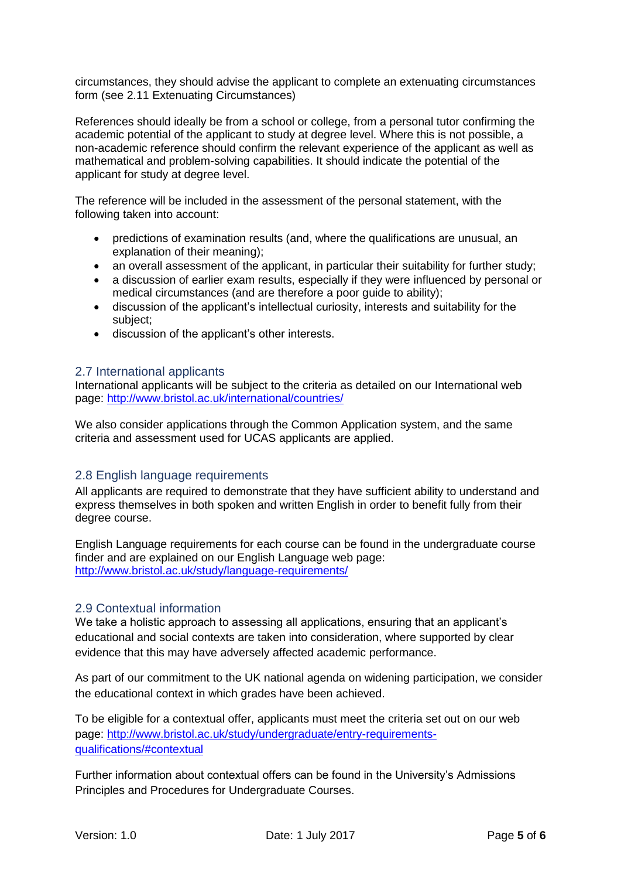circumstances, they should advise the applicant to complete an extenuating circumstances form (see 2.11 Extenuating Circumstances)

References should ideally be from a school or college, from a personal tutor confirming the academic potential of the applicant to study at degree level. Where this is not possible, a non-academic reference should confirm the relevant experience of the applicant as well as mathematical and problem-solving capabilities. It should indicate the potential of the applicant for study at degree level.

The reference will be included in the assessment of the personal statement, with the following taken into account:

- predictions of examination results (and, where the qualifications are unusual, an explanation of their meaning);
- an overall assessment of the applicant, in particular their suitability for further study;
- a discussion of earlier exam results, especially if they were influenced by personal or medical circumstances (and are therefore a poor guide to ability);
- discussion of the applicant's intellectual curiosity, interests and suitability for the subject;
- discussion of the applicant's other interests.

#### 2.7 International applicants

International applicants will be subject to the criteria as detailed on our International web page:<http://www.bristol.ac.uk/international/countries/>

We also consider applications through the Common Application system, and the same criteria and assessment used for UCAS applicants are applied.

### 2.8 English language requirements

All applicants are required to demonstrate that they have sufficient ability to understand and express themselves in both spoken and written English in order to benefit fully from their degree course.

English Language requirements for each course can be found in the undergraduate course finder and are explained on our English Language web page: <http://www.bristol.ac.uk/study/language-requirements/>

### 2.9 Contextual information

We take a holistic approach to assessing all applications, ensuring that an applicant's educational and social contexts are taken into consideration, where supported by clear evidence that this may have adversely affected academic performance.

As part of our commitment to the UK national agenda on widening participation, we consider the educational context in which grades have been achieved.

To be eligible for a contextual offer, applicants must meet the criteria set out on our web page: [http://www.bristol.ac.uk/study/undergraduate/entry-requirements](http://www.bristol.ac.uk/study/undergraduate/entry-requirements-qualifications/%23contextual)[qualifications/#contextual](http://www.bristol.ac.uk/study/undergraduate/entry-requirements-qualifications/%23contextual)

Further information about contextual offers can be found in the University's Admissions Principles and Procedures for Undergraduate Courses.